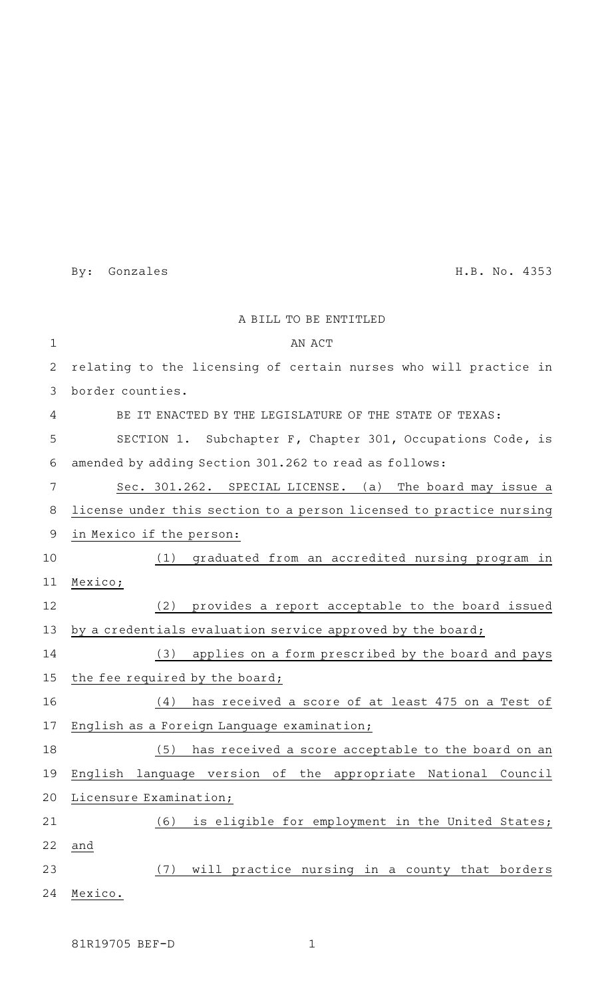By: Gonzales H.B. No. 4353

|              | A BILL TO BE ENTITLED                                               |
|--------------|---------------------------------------------------------------------|
| $\mathbf{1}$ | AN ACT                                                              |
| 2            | relating to the licensing of certain nurses who will practice in    |
| 3            | border counties.                                                    |
| 4            | BE IT ENACTED BY THE LEGISLATURE OF THE STATE OF TEXAS:             |
| 5            | SECTION 1. Subchapter F, Chapter 301, Occupations Code, is          |
| 6            | amended by adding Section 301.262 to read as follows:               |
| 7            | Sec. 301.262. SPECIAL LICENSE. (a) The board may issue a            |
| 8            | license under this section to a person licensed to practice nursing |
| 9            | in Mexico if the person:                                            |
| 10           | (1)<br>graduated from an accredited nursing program in              |
| 11           | Mexico;                                                             |
| 12           | provides a report acceptable to the board issued<br>(2)             |
| 13           | by a credentials evaluation service approved by the board;          |
| 14           | applies on a form prescribed by the board and pays<br>(3)           |
| 15           | the fee required by the board;                                      |
| 16           | has received a score of at least 475 on a Test of<br>(4)            |
| 17           | English as a Foreign Language examination;                          |
| 18           | has received a score acceptable to the board on an<br>(5)           |
| 19           | English language version of the appropriate National Council        |
| 20           | Licensure Examination;                                              |
| 21           | is eligible for employment in the United States;<br>(6)             |
| 22           | and                                                                 |
| 23           | will practice nursing in a county that borders<br>(7)               |
| 24           | Mexico.                                                             |

81R19705 BEF-D 1